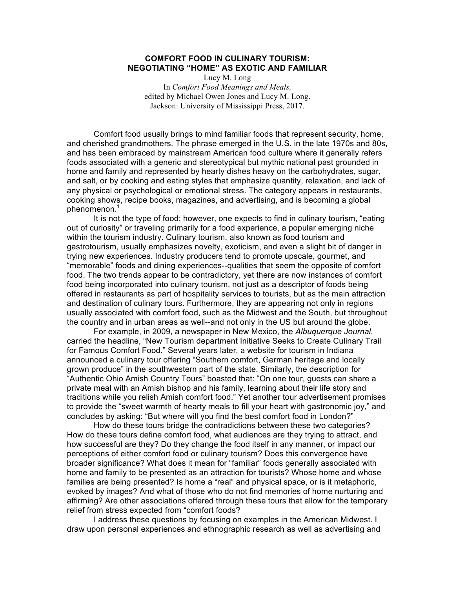# **COMFORT FOOD IN CULINARY TOURISM: NEGOTIATING "HOME" AS EXOTIC AND FAMILIAR**

Lucy M. Long In *Comfort Food Meanings and Meals,* edited by Michael Owen Jones and Lucy M. Long. Jackson: University of Mississippi Press, 2017.

Comfort food usually brings to mind familiar foods that represent security, home, and cherished grandmothers. The phrase emerged in the U.S. in the late 1970s and 80s, and has been embraced by mainstream American food culture where it generally refers foods associated with a generic and stereotypical but mythic national past grounded in home and family and represented by hearty dishes heavy on the carbohydrates, sugar, and salt, or by cooking and eating styles that emphasize quantity, relaxation, and lack of any physical or psychological or emotional stress. The category appears in restaurants, cooking shows, recipe books, magazines, and advertising, and is becoming a global phenomenon.1

It is not the type of food; however, one expects to find in culinary tourism, "eating out of curiosity" or traveling primarily for a food experience, a popular emerging niche within the tourism industry. Culinary tourism, also known as food tourism and gastrotourism, usually emphasizes novelty, exoticism, and even a slight bit of danger in trying new experiences. Industry producers tend to promote upscale, gourmet, and "memorable" foods and dining experiences--qualities that seem the opposite of comfort food. The two trends appear to be contradictory, yet there are now instances of comfort food being incorporated into culinary tourism, not just as a descriptor of foods being offered in restaurants as part of hospitality services to tourists, but as the main attraction and destination of culinary tours. Furthermore, they are appearing not only in regions usually associated with comfort food, such as the Midwest and the South, but throughout the country and in urban areas as well--and not only in the US but around the globe.

For example, in 2009, a newspaper in New Mexico, the *Albuquerque Journal*, carried the headline, "New Tourism department Initiative Seeks to Create Culinary Trail for Famous Comfort Food." Several years later, a website for tourism in Indiana announced a culinary tour offering "Southern comfort, German heritage and locally grown produce" in the southwestern part of the state. Similarly, the description for "Authentic Ohio Amish Country Tours" boasted that: "On one tour, guests can share a private meal with an Amish bishop and his family, learning about their life story and traditions while you relish Amish comfort food." Yet another tour advertisement promises to provide the "sweet warmth of hearty meals to fill your heart with gastronomic joy," and concludes by asking: "But where will you find the best comfort food in London?"

How do these tours bridge the contradictions between these two categories? How do these tours define comfort food, what audiences are they trying to attract, and how successful are they? Do they change the food itself in any manner, or impact our perceptions of either comfort food or culinary tourism? Does this convergence have broader significance? What does it mean for "familiar" foods generally associated with home and family to be presented as an attraction for tourists? Whose home and whose families are being presented? Is home a "real" and physical space, or is it metaphoric, evoked by images? And what of those who do not find memories of home nurturing and affirming? Are other associations offered through these tours that allow for the temporary relief from stress expected from "comfort foods?

I address these questions by focusing on examples in the American Midwest. I draw upon personal experiences and ethnographic research as well as advertising and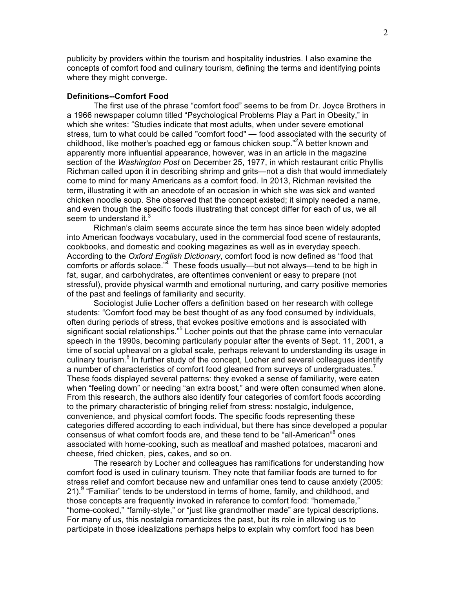publicity by providers within the tourism and hospitality industries. I also examine the concepts of comfort food and culinary tourism, defining the terms and identifying points where they might converge.

### **Definitions--Comfort Food**

The first use of the phrase "comfort food" seems to be from Dr. Joyce Brothers in a 1966 newspaper column titled "Psychological Problems Play a Part in Obesity," in which she writes: "Studies indicate that most adults, when under severe emotional stress, turn to what could be called "comfort food" — food associated with the security of childhood, like mother's poached egg or famous chicken soup."<sup>2</sup>A better known and apparently more influential appearance, however, was in an article in the magazine section of the *Washington Post* on December 25, 1977, in which restaurant critic Phyllis Richman called upon it in describing shrimp and grits—not a dish that would immediately come to mind for many Americans as a comfort food. In 2013, Richman revisited the term, illustrating it with an anecdote of an occasion in which she was sick and wanted chicken noodle soup. She observed that the concept existed; it simply needed a name, and even though the specific foods illustrating that concept differ for each of us, we all seem to understand it. $\overline{3}$ 

Richman's claim seems accurate since the term has since been widely adopted into American foodways vocabulary, used in the commercial food scene of restaurants, cookbooks, and domestic and cooking magazines as well as in everyday speech. According to the *Oxford English Dictionary*, comfort food is now defined as "food that comforts or affords solace. $\mathbb{R}^4$  These foods usually—but not always—tend to be high in fat, sugar, and carbohydrates, are oftentimes convenient or easy to prepare (not stressful), provide physical warmth and emotional nurturing, and carry positive memories of the past and feelings of familiarity and security.

Sociologist Julie Locher offers a definition based on her research with college students: "Comfort food may be best thought of as any food consumed by individuals, often during periods of stress, that evokes positive emotions and is associated with significant social relationships."<sup>5</sup> Locher points out that the phrase came into vernacular speech in the 1990s, becoming particularly popular after the events of Sept. 11, 2001, a time of social upheaval on a global scale, perhaps relevant to understanding its usage in culinary tourism.<sup>6</sup> In further study of the concept, Locher and several colleagues identify a number of characteristics of comfort food gleaned from surveys of undergraduates.<sup>7</sup> These foods displayed several patterns: they evoked a sense of familiarity, were eaten when "feeling down" or needing "an extra boost," and were often consumed when alone. From this research, the authors also identify four categories of comfort foods according to the primary characteristic of bringing relief from stress: nostalgic, indulgence, convenience, and physical comfort foods. The specific foods representing these categories differed according to each individual, but there has since developed a popular consensus of what comfort foods are, and these tend to be "all-American"<sup>8</sup> ones associated with home-cooking, such as meatloaf and mashed potatoes, macaroni and cheese, fried chicken, pies, cakes, and so on.

The research by Locher and colleagues has ramifications for understanding how comfort food is used in culinary tourism. They note that familiar foods are turned to for stress relief and comfort because new and unfamiliar ones tend to cause anxiety (2005: 21).<sup>9</sup> "Familiar" tends to be understood in terms of home, family, and childhood, and those concepts are frequently invoked in reference to comfort food: "homemade," "home-cooked," "family-style," or "just like grandmother made" are typical descriptions. For many of us, this nostalgia romanticizes the past, but its role in allowing us to participate in those idealizations perhaps helps to explain why comfort food has been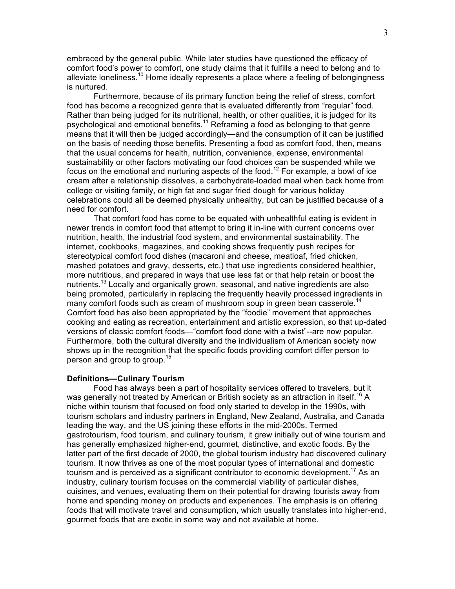embraced by the general public. While later studies have questioned the efficacy of comfort food's power to comfort, one study claims that it fulfills a need to belong and to alleviate loneliness.<sup>10</sup> Home ideally represents a place where a feeling of belongingness is nurtured.

Furthermore, because of its primary function being the relief of stress, comfort food has become a recognized genre that is evaluated differently from "regular" food. Rather than being judged for its nutritional, health, or other qualities, it is judged for its psychological and emotional benefits.<sup>11</sup> Reframing a food as belonging to that genre means that it will then be judged accordingly—and the consumption of it can be justified on the basis of needing those benefits. Presenting a food as comfort food, then, means that the usual concerns for health, nutrition, convenience, expense, environmental sustainability or other factors motivating our food choices can be suspended while we focus on the emotional and nurturing aspects of the food.<sup>12</sup> For example, a bowl of ice cream after a relationship dissolves, a carbohydrate-loaded meal when back home from college or visiting family, or high fat and sugar fried dough for various holiday celebrations could all be deemed physically unhealthy, but can be justified because of a need for comfort.

That comfort food has come to be equated with unhealthful eating is evident in newer trends in comfort food that attempt to bring it in-line with current concerns over nutrition, health, the industrial food system, and environmental sustainability. The internet, cookbooks, magazines, and cooking shows frequently push recipes for stereotypical comfort food dishes (macaroni and cheese, meatloaf, fried chicken, mashed potatoes and gravy, desserts, etc.) that use ingredients considered healthier, more nutritious, and prepared in ways that use less fat or that help retain or boost the nutrients.<sup>13</sup> Locally and organically grown, seasonal, and native ingredients are also being promoted, particularly in replacing the frequently heavily processed ingredients in many comfort foods such as cream of mushroom soup in green bean casserole.<sup>14</sup> Comfort food has also been appropriated by the "foodie" movement that approaches cooking and eating as recreation, entertainment and artistic expression, so that up-dated versions of classic comfort foods—"comfort food done with a twist"--are now popular. Furthermore, both the cultural diversity and the individualism of American society now shows up in the recognition that the specific foods providing comfort differ person to person and group to group.<sup>15</sup>

### **Definitions—Culinary Tourism**

Food has always been a part of hospitality services offered to travelers, but it was generally not treated by American or British society as an attraction in itself.<sup>16</sup> A niche within tourism that focused on food only started to develop in the 1990s, with tourism scholars and industry partners in England, New Zealand, Australia, and Canada leading the way, and the US joining these efforts in the mid-2000s. Termed gastrotourism, food tourism, and culinary tourism, it grew initially out of wine tourism and has generally emphasized higher-end, gourmet, distinctive, and exotic foods. By the latter part of the first decade of 2000, the global tourism industry had discovered culinary tourism. It now thrives as one of the most popular types of international and domestic tourism and is perceived as a significant contributor to economic development.<sup>17</sup> As an industry, culinary tourism focuses on the commercial viability of particular dishes, cuisines, and venues, evaluating them on their potential for drawing tourists away from home and spending money on products and experiences. The emphasis is on offering foods that will motivate travel and consumption, which usually translates into higher-end, gourmet foods that are exotic in some way and not available at home.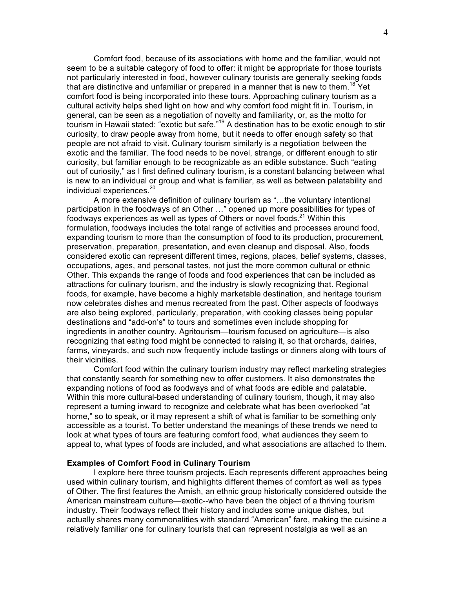Comfort food, because of its associations with home and the familiar, would not seem to be a suitable category of food to offer: it might be appropriate for those tourists not particularly interested in food, however culinary tourists are generally seeking foods that are distinctive and unfamiliar or prepared in a manner that is new to them.<sup>18</sup> Yet comfort food is being incorporated into these tours. Approaching culinary tourism as a cultural activity helps shed light on how and why comfort food might fit in. Tourism, in general, can be seen as a negotiation of novelty and familiarity, or, as the motto for tourism in Hawaii stated: "exotic but safe."<sup>19</sup> A destination has to be exotic enough to stir curiosity, to draw people away from home, but it needs to offer enough safety so that people are not afraid to visit. Culinary tourism similarly is a negotiation between the exotic and the familiar. The food needs to be novel, strange, or different enough to stir curiosity, but familiar enough to be recognizable as an edible substance. Such "eating out of curiosity," as I first defined culinary tourism, is a constant balancing between what is new to an individual or group and what is familiar, as well as between palatability and individual experiences.<sup>20</sup>

A more extensive definition of culinary tourism as "…the voluntary intentional participation in the foodways of an Other …" opened up more possibilities for types of foodways experiences as well as types of Others or novel foods.<sup>21</sup> Within this formulation, foodways includes the total range of activities and processes around food, expanding tourism to more than the consumption of food to its production, procurement, preservation, preparation, presentation, and even cleanup and disposal. Also, foods considered exotic can represent different times, regions, places, belief systems, classes, occupations, ages, and personal tastes, not just the more common cultural or ethnic Other. This expands the range of foods and food experiences that can be included as attractions for culinary tourism, and the industry is slowly recognizing that. Regional foods, for example, have become a highly marketable destination, and heritage tourism now celebrates dishes and menus recreated from the past. Other aspects of foodways are also being explored, particularly, preparation, with cooking classes being popular destinations and "add-on's" to tours and sometimes even include shopping for ingredients in another country. Agritourism—tourism focused on agriculture—is also recognizing that eating food might be connected to raising it, so that orchards, dairies, farms, vineyards, and such now frequently include tastings or dinners along with tours of their vicinities.

Comfort food within the culinary tourism industry may reflect marketing strategies that constantly search for something new to offer customers. It also demonstrates the expanding notions of food as foodways and of what foods are edible and palatable. Within this more cultural-based understanding of culinary tourism, though, it may also represent a turning inward to recognize and celebrate what has been overlooked "at home," so to speak, or it may represent a shift of what is familiar to be something only accessible as a tourist. To better understand the meanings of these trends we need to look at what types of tours are featuring comfort food, what audiences they seem to appeal to, what types of foods are included, and what associations are attached to them.

## **Examples of Comfort Food in Culinary Tourism**

I explore here three tourism projects. Each represents different approaches being used within culinary tourism, and highlights different themes of comfort as well as types of Other. The first features the Amish, an ethnic group historically considered outside the American mainstream culture—exotic--who have been the object of a thriving tourism industry. Their foodways reflect their history and includes some unique dishes, but actually shares many commonalities with standard "American" fare, making the cuisine a relatively familiar one for culinary tourists that can represent nostalgia as well as an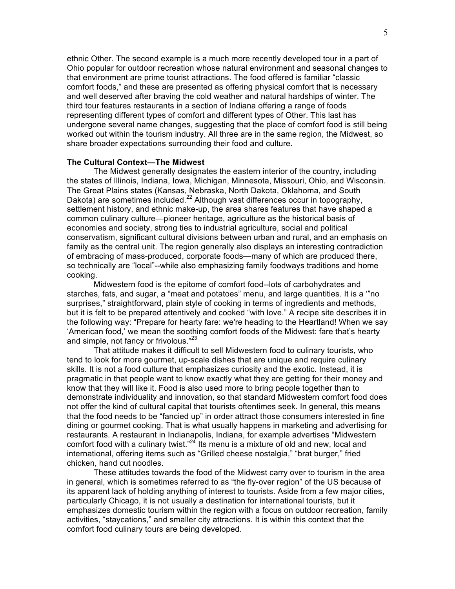ethnic Other. The second example is a much more recently developed tour in a part of Ohio popular for outdoor recreation whose natural environment and seasonal changes to that environment are prime tourist attractions. The food offered is familiar "classic comfort foods," and these are presented as offering physical comfort that is necessary and well deserved after braving the cold weather and natural hardships of winter. The third tour features restaurants in a section of Indiana offering a range of foods representing different types of comfort and different types of Other. This last has undergone several name changes, suggesting that the place of comfort food is still being worked out within the tourism industry. All three are in the same region, the Midwest, so share broader expectations surrounding their food and culture.

#### **The Cultural Context—The Midwest**

The Midwest generally designates the eastern interior of the country, including the states of Illinois, Indiana, Iowa, Michigan, Minnesota, Missouri, Ohio, and Wisconsin. The Great Plains states (Kansas, Nebraska, North Dakota, Oklahoma, and South Dakota) are sometimes included.<sup>22</sup> Although vast differences occur in topography, settlement history, and ethnic make-up, the area shares features that have shaped a common culinary culture—pioneer heritage, agriculture as the historical basis of economies and society, strong ties to industrial agriculture, social and political conservatism, significant cultural divisions between urban and rural, and an emphasis on family as the central unit. The region generally also displays an interesting contradiction of embracing of mass-produced, corporate foods—many of which are produced there, so technically are "local"--while also emphasizing family foodways traditions and home cooking.

Midwestern food is the epitome of comfort food--lots of carbohydrates and starches, fats, and sugar, a "meat and potatoes" menu, and large quantities. It is a '"no surprises," straightforward, plain style of cooking in terms of ingredients and methods, but it is felt to be prepared attentively and cooked "with love." A recipe site describes it in the following way: "Prepare for hearty fare: we're heading to the Heartland! When we say 'American food,' we mean the soothing comfort foods of the Midwest: fare that's hearty and simple, not fancy or frivolous."<sup>23</sup>

That attitude makes it difficult to sell Midwestern food to culinary tourists, who tend to look for more gourmet, up-scale dishes that are unique and require culinary skills. It is not a food culture that emphasizes curiosity and the exotic. Instead, it is pragmatic in that people want to know exactly what they are getting for their money and know that they will like it. Food is also used more to bring people together than to demonstrate individuality and innovation, so that standard Midwestern comfort food does not offer the kind of cultural capital that tourists oftentimes seek. In general, this means that the food needs to be "fancied up" in order attract those consumers interested in fine dining or gourmet cooking. That is what usually happens in marketing and advertising for restaurants. A restaurant in Indianapolis, Indiana, for example advertises "Midwestern comfort food with a culinary twist."24 Its menu is a mixture of old and new, local and international, offering items such as "Grilled cheese nostalgia," "brat burger," fried chicken, hand cut noodles.

These attitudes towards the food of the Midwest carry over to tourism in the area in general, which is sometimes referred to as "the fly-over region" of the US because of its apparent lack of holding anything of interest to tourists. Aside from a few major cities, particularly Chicago, it is not usually a destination for international tourists, but it emphasizes domestic tourism within the region with a focus on outdoor recreation, family activities, "staycations," and smaller city attractions. It is within this context that the comfort food culinary tours are being developed.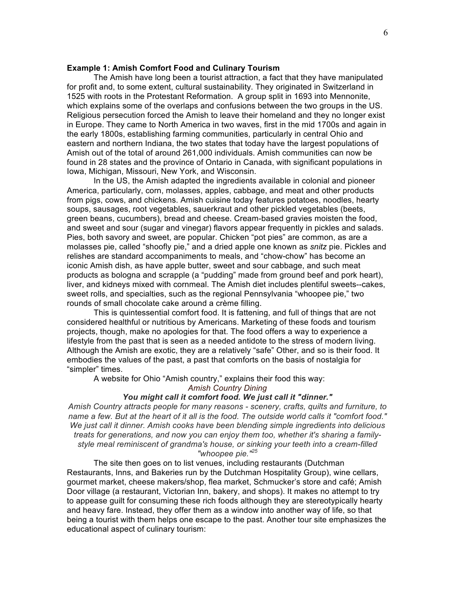### **Example 1: Amish Comfort Food and Culinary Tourism**

The Amish have long been a tourist attraction, a fact that they have manipulated for profit and, to some extent, cultural sustainability. They originated in Switzerland in 1525 with roots in the Protestant Reformation. A group split in 1693 into Mennonite, which explains some of the overlaps and confusions between the two groups in the US. Religious persecution forced the Amish to leave their homeland and they no longer exist in Europe. They came to North America in two waves, first in the mid 1700s and again in the early 1800s, establishing farming communities, particularly in central Ohio and eastern and northern Indiana, the two states that today have the largest populations of Amish out of the total of around 261,000 individuals. Amish communities can now be found in 28 states and the province of Ontario in Canada, with significant populations in Iowa, Michigan, Missouri, New York, and Wisconsin.

In the US, the Amish adapted the ingredients available in colonial and pioneer America, particularly, corn, molasses, apples, cabbage, and meat and other products from pigs, cows, and chickens. Amish cuisine today features potatoes, noodles, hearty soups, sausages, root vegetables, sauerkraut and other pickled vegetables (beets, green beans, cucumbers), bread and cheese. Cream-based gravies moisten the food, and sweet and sour (sugar and vinegar) flavors appear frequently in pickles and salads. Pies, both savory and sweet, are popular. Chicken "pot pies" are common, as are a molasses pie, called "shoofly pie," and a dried apple one known as *snitz* pie. Pickles and relishes are standard accompaniments to meals, and "chow-chow" has become an iconic Amish dish, as have apple butter, sweet and sour cabbage, and such meat products as bologna and scrapple (a "pudding" made from ground beef and pork heart), liver, and kidneys mixed with cornmeal. The Amish diet includes plentiful sweets--cakes, sweet rolls, and specialties, such as the regional Pennsylvania "whoopee pie," two rounds of small chocolate cake around a crème filling.

This is quintessential comfort food. It is fattening, and full of things that are not considered healthful or nutritious by Americans. Marketing of these foods and tourism projects, though, make no apologies for that. The food offers a way to experience a lifestyle from the past that is seen as a needed antidote to the stress of modern living. Although the Amish are exotic, they are a relatively "safe" Other, and so is their food. It embodies the values of the past, a past that comforts on the basis of nostalgia for "simpler" times.

A website for Ohio "Amish country," explains their food this way:

*Amish Country Dining*

# *You might call it comfort food. We just call it "dinner."*

*Amish Country attracts people for many reasons - scenery, crafts, quilts and furniture, to name a few. But at the heart of it all is the food. The outside world calls it "comfort food." We just call it dinner. Amish cooks have been blending simple ingredients into delicious treats for generations, and now you can enjoy them too, whether it's sharing a familystyle meal reminiscent of grandma's house, or sinking your teeth into a cream-filled "whoopee pie."25* 

The site then goes on to list venues, including restaurants (Dutchman Restaurants, Inns, and Bakeries run by the Dutchman Hospitality Group), wine cellars, gourmet market, cheese makers/shop, flea market, Schmucker's store and café; Amish Door village (a restaurant, Victorian Inn, bakery, and shops). It makes no attempt to try to appease guilt for consuming these rich foods although they are stereotypically hearty and heavy fare. Instead, they offer them as a window into another way of life, so that being a tourist with them helps one escape to the past. Another tour site emphasizes the educational aspect of culinary tourism: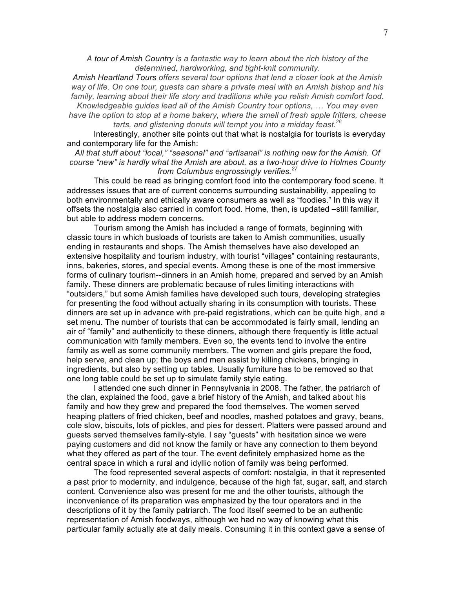*A tour of Amish Country is a fantastic way to learn about the rich history of the determined, hardworking, and tight-knit community.*

*Amish Heartland Tours offers several tour options that lend a closer look at the Amish way of life. On one tour, guests can share a private meal with an Amish bishop and his family, learning about their life story and traditions while you relish Amish comfort food. Knowledgeable guides lead all of the Amish Country tour options, … You may even* 

*have the option to stop at a home bakery, where the smell of fresh apple fritters, cheese tarts, and glistening donuts will tempt you into a midday feast.26*

Interestingly, another site points out that what is nostalgia for tourists is everyday and contemporary life for the Amish:

*All that stuff about "local," "seasonal" and "artisanal" is nothing new for the Amish. Of course "new" is hardly what the Amish are about, as a two-hour drive to Holmes County from Columbus engrossingly verifies.<sup>27</sup>*

This could be read as bringing comfort food into the contemporary food scene. It addresses issues that are of current concerns surrounding sustainability, appealing to both environmentally and ethically aware consumers as well as "foodies." In this way it offsets the nostalgia also carried in comfort food. Home, then, is updated –still familiar, but able to address modern concerns.

Tourism among the Amish has included a range of formats, beginning with classic tours in which busloads of tourists are taken to Amish communities, usually ending in restaurants and shops. The Amish themselves have also developed an extensive hospitality and tourism industry, with tourist "villages" containing restaurants, inns, bakeries, stores, and special events. Among these is one of the most immersive forms of culinary tourism--dinners in an Amish home, prepared and served by an Amish family. These dinners are problematic because of rules limiting interactions with "outsiders," but some Amish families have developed such tours, developing strategies for presenting the food without actually sharing in its consumption with tourists. These dinners are set up in advance with pre-paid registrations, which can be quite high, and a set menu. The number of tourists that can be accommodated is fairly small, lending an air of "family" and authenticity to these dinners, although there frequently is little actual communication with family members. Even so, the events tend to involve the entire family as well as some community members. The women and girls prepare the food, help serve, and clean up; the boys and men assist by killing chickens, bringing in ingredients, but also by setting up tables. Usually furniture has to be removed so that one long table could be set up to simulate family style eating.

I attended one such dinner in Pennsylvania in 2008. The father, the patriarch of the clan, explained the food, gave a brief history of the Amish, and talked about his family and how they grew and prepared the food themselves. The women served heaping platters of fried chicken, beef and noodles, mashed potatoes and gravy, beans, cole slow, biscuits, lots of pickles, and pies for dessert. Platters were passed around and guests served themselves family-style. I say "guests" with hesitation since we were paying customers and did not know the family or have any connection to them beyond what they offered as part of the tour. The event definitely emphasized home as the central space in which a rural and idyllic notion of family was being performed.

The food represented several aspects of comfort: nostalgia, in that it represented a past prior to modernity, and indulgence, because of the high fat, sugar, salt, and starch content. Convenience also was present for me and the other tourists, although the inconvenience of its preparation was emphasized by the tour operators and in the descriptions of it by the family patriarch. The food itself seemed to be an authentic representation of Amish foodways, although we had no way of knowing what this particular family actually ate at daily meals. Consuming it in this context gave a sense of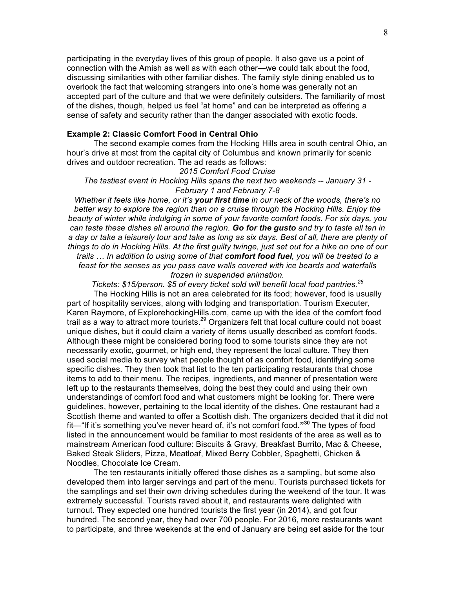participating in the everyday lives of this group of people. It also gave us a point of connection with the Amish as well as with each other—we could talk about the food, discussing similarities with other familiar dishes. The family style dining enabled us to overlook the fact that welcoming strangers into one's home was generally not an accepted part of the culture and that we were definitely outsiders. The familiarity of most of the dishes, though, helped us feel "at home" and can be interpreted as offering a sense of safety and security rather than the danger associated with exotic foods.

### **Example 2: Classic Comfort Food in Central Ohio**

The second example comes from the Hocking Hills area in south central Ohio, an hour's drive at most from the capital city of Columbus and known primarily for scenic drives and outdoor recreation. The ad reads as follows:

# *2015 Comfort Food Cruise The tastiest event in Hocking Hills spans the next two weekends -- January 31 - February 1 and February 7-8*

*Whether it feels like home, or it's your first time in our neck of the woods, there's no*  better way to explore the region than on a cruise through the Hocking Hills. Enjoy the *beauty of winter while indulging in some of your favorite comfort foods. For six days, you can taste these dishes all around the region. Go for the gusto and try to taste all ten in a day or take a leisurely tour and take as long as six days. Best of all, there are plenty of things to do in Hocking Hills. At the first guilty twinge, just set out for a hike on one of our trails … In addition to using some of that comfort food fuel, you will be treated to a feast for the senses as you pass cave walls covered with ice beards and waterfalls* 

*frozen in suspended animation.*

*Tickets: \$15/person. \$5 of every ticket sold will benefit local food pantries.28* The Hocking Hills is not an area celebrated for its food; however, food is usually part of hospitality services, along with lodging and transportation. Tourism Executer, Karen Raymore, of ExplorehockingHills.com, came up with the idea of the comfort food trail as a way to attract more tourists.<sup>29</sup> Organizers felt that local culture could not boast unique dishes, but it could claim a variety of items usually described as comfort foods. Although these might be considered boring food to some tourists since they are not necessarily exotic, gourmet, or high end, they represent the local culture. They then used social media to survey what people thought of as comfort food, identifying some specific dishes. They then took that list to the ten participating restaurants that chose items to add to their menu. The recipes, ingredients, and manner of presentation were left up to the restaurants themselves, doing the best they could and using their own understandings of comfort food and what customers might be looking for. There were guidelines, however, pertaining to the local identity of the dishes. One restaurant had a Scottish theme and wanted to offer a Scottish dish. The organizers decided that it did not fit—"If it's something you've never heard of, it's not comfort food**."<sup>30</sup>** The types of food listed in the announcement would be familiar to most residents of the area as well as to mainstream American food culture: Biscuits & Gravy, Breakfast Burrito, Mac & Cheese, Baked Steak Sliders, Pizza, Meatloaf, Mixed Berry Cobbler, Spaghetti, Chicken & Noodles, Chocolate Ice Cream.

The ten restaurants initially offered those dishes as a sampling, but some also developed them into larger servings and part of the menu. Tourists purchased tickets for the samplings and set their own driving schedules during the weekend of the tour. It was extremely successful. Tourists raved about it, and restaurants were delighted with turnout. They expected one hundred tourists the first year (in 2014), and got four hundred. The second year, they had over 700 people. For 2016, more restaurants want to participate, and three weekends at the end of January are being set aside for the tour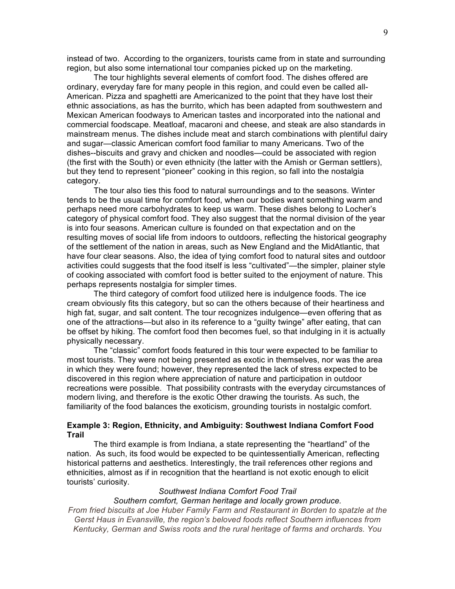instead of two. According to the organizers, tourists came from in state and surrounding region, but also some international tour companies picked up on the marketing.

The tour highlights several elements of comfort food. The dishes offered are ordinary, everyday fare for many people in this region, and could even be called all-American. Pizza and spaghetti are Americanized to the point that they have lost their ethnic associations, as has the burrito, which has been adapted from southwestern and Mexican American foodways to American tastes and incorporated into the national and commercial foodscape. Meatloaf, macaroni and cheese, and steak are also standards in mainstream menus. The dishes include meat and starch combinations with plentiful dairy and sugar—classic American comfort food familiar to many Americans. Two of the dishes--biscuits and gravy and chicken and noodles—could be associated with region (the first with the South) or even ethnicity (the latter with the Amish or German settlers), but they tend to represent "pioneer" cooking in this region, so fall into the nostalgia category.

The tour also ties this food to natural surroundings and to the seasons. Winter tends to be the usual time for comfort food, when our bodies want something warm and perhaps need more carbohydrates to keep us warm. These dishes belong to Locher's category of physical comfort food. They also suggest that the normal division of the year is into four seasons. American culture is founded on that expectation and on the resulting moves of social life from indoors to outdoors, reflecting the historical geography of the settlement of the nation in areas, such as New England and the MidAtlantic, that have four clear seasons. Also, the idea of tying comfort food to natural sites and outdoor activities could suggests that the food itself is less "cultivated"—the simpler, plainer style of cooking associated with comfort food is better suited to the enjoyment of nature. This perhaps represents nostalgia for simpler times.

The third category of comfort food utilized here is indulgence foods. The ice cream obviously fits this category, but so can the others because of their heartiness and high fat, sugar, and salt content. The tour recognizes indulgence—even offering that as one of the attractions—but also in its reference to a "guilty twinge" after eating, that can be offset by hiking. The comfort food then becomes fuel, so that indulging in it is actually physically necessary.

The "classic" comfort foods featured in this tour were expected to be familiar to most tourists. They were not being presented as exotic in themselves, nor was the area in which they were found; however, they represented the lack of stress expected to be discovered in this region where appreciation of nature and participation in outdoor recreations were possible. That possibility contrasts with the everyday circumstances of modern living, and therefore is the exotic Other drawing the tourists. As such, the familiarity of the food balances the exoticism, grounding tourists in nostalgic comfort.

# **Example 3: Region, Ethnicity, and Ambiguity: Southwest Indiana Comfort Food Trail**

The third example is from Indiana, a state representing the "heartland" of the nation. As such, its food would be expected to be quintessentially American, reflecting historical patterns and aesthetics. Interestingly, the trail references other regions and ethnicities, almost as if in recognition that the heartland is not exotic enough to elicit tourists' curiosity.

# *Southwest Indiana Comfort Food Trail*

*Southern comfort, German heritage and locally grown produce. From fried biscuits at Joe Huber Family Farm and Restaurant in Borden to spatzle at the Gerst Haus in Evansville, the region's beloved foods reflect Southern influences from Kentucky, German and Swiss roots and the rural heritage of farms and orchards. You*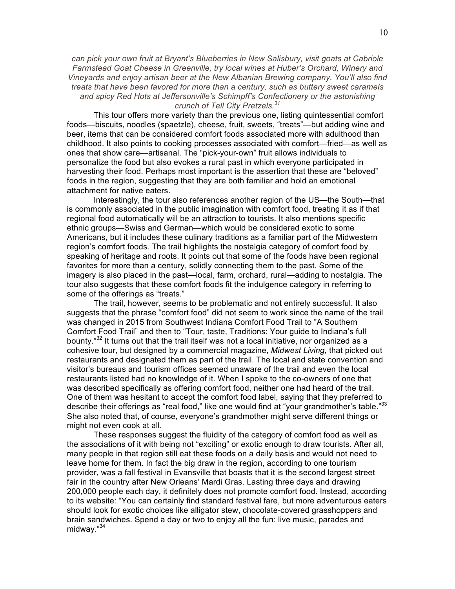*can pick your own fruit at Bryant's Blueberries in New Salisbury, visit goats at Cabriole Farmstead Goat Cheese in Greenville, try local wines at Huber's Orchard, Winery and Vineyards and enjoy artisan beer at the New Albanian Brewing company. You'll also find treats that have been favored for more than a century, such as buttery sweet caramels and spicy Red Hots at Jeffersonville's Schimpff's Confectionery or the astonishing crunch of Tell City Pretzels.<sup>31</sup>*

This tour offers more variety than the previous one, listing quintessential comfort foods—biscuits, noodles (spaetzle), cheese, fruit, sweets, "treats"—but adding wine and beer, items that can be considered comfort foods associated more with adulthood than childhood. It also points to cooking processes associated with comfort—fried—as well as ones that show care—artisanal. The "pick-your-own" fruit allows individuals to personalize the food but also evokes a rural past in which everyone participated in harvesting their food. Perhaps most important is the assertion that these are "beloved" foods in the region, suggesting that they are both familiar and hold an emotional attachment for native eaters.

Interestingly, the tour also references another region of the US—the South—that is commonly associated in the public imagination with comfort food, treating it as if that regional food automatically will be an attraction to tourists. It also mentions specific ethnic groups—Swiss and German—which would be considered exotic to some Americans, but it includes these culinary traditions as a familiar part of the Midwestern region's comfort foods. The trail highlights the nostalgia category of comfort food by speaking of heritage and roots. It points out that some of the foods have been regional favorites for more than a century, solidly connecting them to the past. Some of the imagery is also placed in the past—local, farm, orchard, rural—adding to nostalgia. The tour also suggests that these comfort foods fit the indulgence category in referring to some of the offerings as "treats."

The trail, however, seems to be problematic and not entirely successful. It also suggests that the phrase "comfort food" did not seem to work since the name of the trail was changed in 2015 from Southwest Indiana Comfort Food Trail to "A Southern Comfort Food Trail" and then to "Tour, taste, Traditions: Your guide to Indiana's full bounty. $32$  It turns out that the trail itself was not a local initiative, nor organized as a cohesive tour, but designed by a commercial magazine, *Midwest Living*, that picked out restaurants and designated them as part of the trail. The local and state convention and visitor's bureaus and tourism offices seemed unaware of the trail and even the local restaurants listed had no knowledge of it. When I spoke to the co-owners of one that was described specifically as offering comfort food, neither one had heard of the trail. One of them was hesitant to accept the comfort food label, saying that they preferred to describe their offerings as "real food," like one would find at "your grandmother's table."33 She also noted that, of course, everyone's grandmother might serve different things or might not even cook at all.

These responses suggest the fluidity of the category of comfort food as well as the associations of it with being not "exciting" or exotic enough to draw tourists. After all, many people in that region still eat these foods on a daily basis and would not need to leave home for them. In fact the big draw in the region, according to one tourism provider, was a fall festival in Evansville that boasts that it is the second largest street fair in the country after New Orleans' Mardi Gras. Lasting three days and drawing 200,000 people each day, it definitely does not promote comfort food. Instead, according to its website: "You can certainly find standard festival fare, but more adventurous eaters should look for exotic choices like alligator stew, chocolate-covered grasshoppers and brain sandwiches. Spend a day or two to enjoy all the fun: live music, parades and midway."34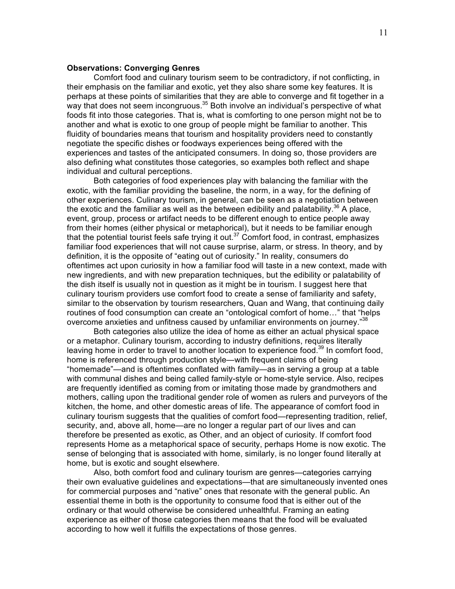### **Observations: Converging Genres**

Comfort food and culinary tourism seem to be contradictory, if not conflicting, in their emphasis on the familiar and exotic, yet they also share some key features. It is perhaps at these points of similarities that they are able to converge and fit together in a way that does not seem incongruous.<sup>35</sup> Both involve an individual's perspective of what foods fit into those categories. That is, what is comforting to one person might not be to another and what is exotic to one group of people might be familiar to another. This fluidity of boundaries means that tourism and hospitality providers need to constantly negotiate the specific dishes or foodways experiences being offered with the experiences and tastes of the anticipated consumers. In doing so, those providers are also defining what constitutes those categories, so examples both reflect and shape individual and cultural perceptions.

Both categories of food experiences play with balancing the familiar with the exotic, with the familiar providing the baseline, the norm, in a way, for the defining of other experiences. Culinary tourism, in general, can be seen as a negotiation between the exotic and the familiar as well as the between edibility and palatability.<sup>36</sup> A place, event, group, process or artifact needs to be different enough to entice people away from their homes (either physical or metaphorical), but it needs to be familiar enough that the potential tourist feels safe trying it out.<sup>37</sup> Comfort food, in contrast, emphasizes familiar food experiences that will not cause surprise, alarm, or stress. In theory, and by definition, it is the opposite of "eating out of curiosity." In reality, consumers do oftentimes act upon curiosity in how a familiar food will taste in a new context, made with new ingredients, and with new preparation techniques, but the edibility or palatability of the dish itself is usually not in question as it might be in tourism. I suggest here that culinary tourism providers use comfort food to create a sense of familiarity and safety, similar to the observation by tourism researchers, Quan and Wang, that continuing daily routines of food consumption can create an "ontological comfort of home…" that "helps overcome anxieties and unfitness caused by unfamiliar environments on journey."<sup>38</sup>

Both categories also utilize the idea of home as either an actual physical space or a metaphor. Culinary tourism, according to industry definitions, requires literally leaving home in order to travel to another location to experience food.<sup>39</sup> In comfort food, home is referenced through production style—with frequent claims of being "homemade"—and is oftentimes conflated with family—as in serving a group at a table with communal dishes and being called family-style or home-style service. Also, recipes are frequently identified as coming from or imitating those made by grandmothers and mothers, calling upon the traditional gender role of women as rulers and purveyors of the kitchen, the home, and other domestic areas of life. The appearance of comfort food in culinary tourism suggests that the qualities of comfort food—representing tradition, relief, security, and, above all, home—are no longer a regular part of our lives and can therefore be presented as exotic, as Other, and an object of curiosity. If comfort food represents Home as a metaphorical space of security, perhaps Home is now exotic. The sense of belonging that is associated with home, similarly, is no longer found literally at home, but is exotic and sought elsewhere.

Also, both comfort food and culinary tourism are genres—categories carrying their own evaluative guidelines and expectations—that are simultaneously invented ones for commercial purposes and "native" ones that resonate with the general public. An essential theme in both is the opportunity to consume food that is either out of the ordinary or that would otherwise be considered unhealthful. Framing an eating experience as either of those categories then means that the food will be evaluated according to how well it fulfills the expectations of those genres.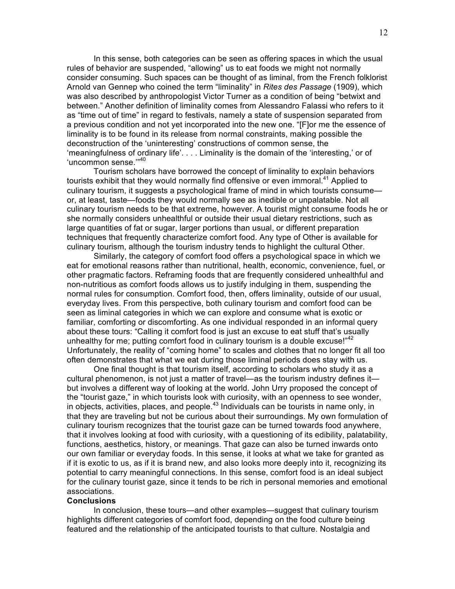In this sense, both categories can be seen as offering spaces in which the usual rules of behavior are suspended, "allowing" us to eat foods we might not normally consider consuming. Such spaces can be thought of as liminal, from the French folklorist Arnold van Gennep who coined the term "liminality" in *Rites des Passage* (1909), which was also described by anthropologist Victor Turner as a condition of being "betwixt and between." Another definition of liminality comes from Alessandro Falassi who refers to it as "time out of time" in regard to festivals, namely a state of suspension separated from a previous condition and not yet incorporated into the new one. "[F]or me the essence of liminality is to be found in its release from normal constraints, making possible the deconstruction of the 'uninteresting' constructions of common sense, the 'meaningfulness of ordinary life'. . . . Liminality is the domain of the 'interesting,' or of 'uncommon sense."<sup>40</sup>

Tourism scholars have borrowed the concept of liminality to explain behaviors tourists exhibit that they would normally find offensive or even immoral.<sup>41</sup> Applied to culinary tourism, it suggests a psychological frame of mind in which tourists consume or, at least, taste—foods they would normally see as inedible or unpalatable. Not all culinary tourism needs to be that extreme, however. A tourist might consume foods he or she normally considers unhealthful or outside their usual dietary restrictions, such as large quantities of fat or sugar, larger portions than usual, or different preparation techniques that frequently characterize comfort food. Any type of Other is available for culinary tourism, although the tourism industry tends to highlight the cultural Other.

Similarly, the category of comfort food offers a psychological space in which we eat for emotional reasons rather than nutritional, health, economic, convenience, fuel, or other pragmatic factors. Reframing foods that are frequently considered unhealthful and non-nutritious as comfort foods allows us to justify indulging in them, suspending the normal rules for consumption. Comfort food, then, offers liminality, outside of our usual, everyday lives. From this perspective, both culinary tourism and comfort food can be seen as liminal categories in which we can explore and consume what is exotic or familiar, comforting or discomforting. As one individual responded in an informal query about these tours: "Calling it comfort food is just an excuse to eat stuff that's usually unhealthy for me; putting comfort food in culinary tourism is a double excuse!"<sup>42</sup> Unfortunately, the reality of "coming home" to scales and clothes that no longer fit all too often demonstrates that what we eat during those liminal periods does stay with us.

One final thought is that tourism itself, according to scholars who study it as a cultural phenomenon, is not just a matter of travel—as the tourism industry defines it but involves a different way of looking at the world. John Urry proposed the concept of the "tourist gaze," in which tourists look with curiosity, with an openness to see wonder, in objects, activities, places, and people.<sup>43</sup> Individuals can be tourists in name only, in that they are traveling but not be curious about their surroundings. My own formulation of culinary tourism recognizes that the tourist gaze can be turned towards food anywhere, that it involves looking at food with curiosity, with a questioning of its edibility, palatability, functions, aesthetics, history, or meanings. That gaze can also be turned inwards onto our own familiar or everyday foods. In this sense, it looks at what we take for granted as if it is exotic to us, as if it is brand new, and also looks more deeply into it, recognizing its potential to carry meaningful connections. In this sense, comfort food is an ideal subject for the culinary tourist gaze, since it tends to be rich in personal memories and emotional associations.

### **Conclusions**

In conclusion, these tours—and other examples—suggest that culinary tourism highlights different categories of comfort food, depending on the food culture being featured and the relationship of the anticipated tourists to that culture. Nostalgia and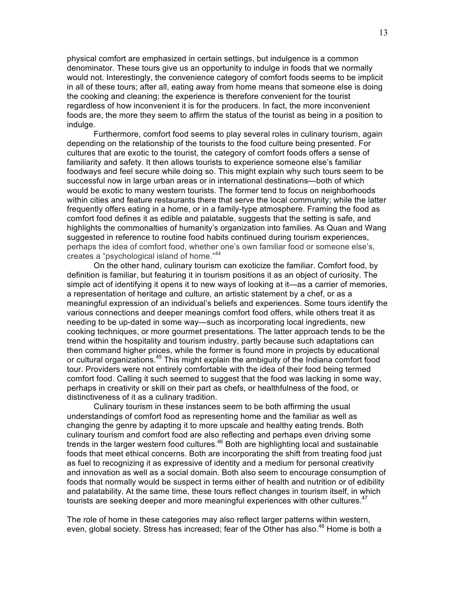physical comfort are emphasized in certain settings, but indulgence is a common denominator. These tours give us an opportunity to indulge in foods that we normally would not. Interestingly, the convenience category of comfort foods seems to be implicit in all of these tours; after all, eating away from home means that someone else is doing the cooking and cleaning; the experience is therefore convenient for the tourist regardless of how inconvenient it is for the producers. In fact, the more inconvenient foods are, the more they seem to affirm the status of the tourist as being in a position to indulge.

Furthermore, comfort food seems to play several roles in culinary tourism, again depending on the relationship of the tourists to the food culture being presented. For cultures that are exotic to the tourist, the category of comfort foods offers a sense of familiarity and safety. It then allows tourists to experience someone else's familiar foodways and feel secure while doing so. This might explain why such tours seem to be successful now in large urban areas or in international destinations—both of which would be exotic to many western tourists. The former tend to focus on neighborhoods within cities and feature restaurants there that serve the local community; while the latter frequently offers eating in a home, or in a family-type atmosphere. Framing the food as comfort food defines it as edible and palatable, suggests that the setting is safe, and highlights the commonalties of humanity's organization into families. As Quan and Wang suggested in reference to routine food habits continued during tourism experiences, perhaps the idea of comfort food, whether one's own familiar food or someone else's, creates a "psychological island of home."<sup>44</sup>

On the other hand, culinary tourism can exoticize the familiar. Comfort food, by definition is familiar, but featuring it in tourism positions it as an object of curiosity. The simple act of identifying it opens it to new ways of looking at it—as a carrier of memories, a representation of heritage and culture, an artistic statement by a chef, or as a meaningful expression of an individual's beliefs and experiences. Some tours identify the various connections and deeper meanings comfort food offers, while others treat it as needing to be up-dated in some way—such as incorporating local ingredients, new cooking techniques, or more gourmet presentations. The latter approach tends to be the trend within the hospitality and tourism industry, partly because such adaptations can then command higher prices, while the former is found more in projects by educational or cultural organizations.<sup>45</sup> This might explain the ambiguity of the Indiana comfort food tour. Providers were not entirely comfortable with the idea of their food being termed comfort food. Calling it such seemed to suggest that the food was lacking in some way, perhaps in creativity or skill on their part as chefs, or healthfulness of the food, or distinctiveness of it as a culinary tradition.

Culinary tourism in these instances seem to be both affirming the usual understandings of comfort food as representing home and the familiar as well as changing the genre by adapting it to more upscale and healthy eating trends. Both culinary tourism and comfort food are also reflecting and perhaps even driving some trends in the larger western food cultures.<sup>46</sup> Both are highlighting local and sustainable foods that meet ethical concerns. Both are incorporating the shift from treating food just as fuel to recognizing it as expressive of identity and a medium for personal creativity and innovation as well as a social domain. Both also seem to encourage consumption of foods that normally would be suspect in terms either of health and nutrition or of edibility and palatability. At the same time, these tours reflect changes in tourism itself, in which tourists are seeking deeper and more meaningful experiences with other cultures.<sup>47</sup>

The role of home in these categories may also reflect larger patterns within western, even, global society. Stress has increased; fear of the Other has also.<sup>48</sup> Home is both a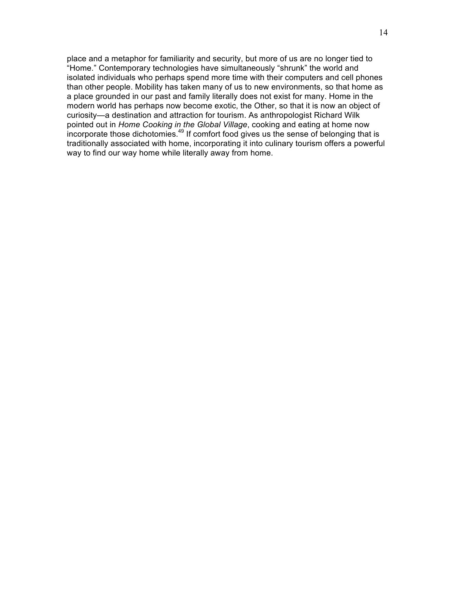place and a metaphor for familiarity and security, but more of us are no longer tied to "Home." Contemporary technologies have simultaneously "shrunk" the world and isolated individuals who perhaps spend more time with their computers and cell phones than other people. Mobility has taken many of us to new environments, so that home as a place grounded in our past and family literally does not exist for many. Home in the modern world has perhaps now become exotic, the Other, so that it is now an object of curiosity—a destination and attraction for tourism. As anthropologist Richard Wilk pointed out in *Home Cooking in the Global Village*, cooking and eating at home now incorporate those dichotomies. $49$  If comfort food gives us the sense of belonging that is traditionally associated with home, incorporating it into culinary tourism offers a powerful way to find our way home while literally away from home.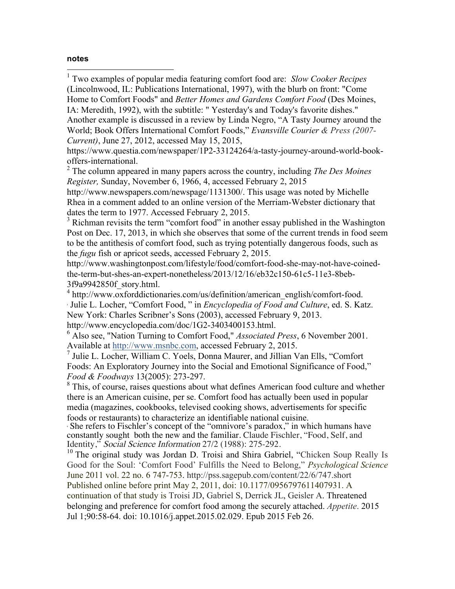### **notes**

 1 Two examples of popular media featuring comfort food are: *Slow Cooker Recipes* (Lincolnwood, IL: Publications International, 1997), with the blurb on front: "Come Home to Comfort Foods" and *Better Homes and Gardens Comfort Food* (Des Moines, IA: Meredith, 1992), with the subtitle: " Yesterday's and Today's favorite dishes." Another example is discussed in a review by Linda Negro, "A Tasty Journey around the World; Book Offers International Comfort Foods," *Evansville Courier & Press (2007- Current)*, June 27, 2012, accessed May 15, 2015,

https://www.questia.com/newspaper/1P2-33124264/a-tasty-journey-around-world-bookoffers-international. 2 The column appeared in many papers across the country, including *The Des Moines* 

*Register,* Sunday, November 6, 1966, 4, accessed February 2, 2015

http://www.newspapers.com/newspage/1131300/. This usage was noted by Michelle Rhea in a comment added to an online version of the Merriam-Webster dictionary that dates the term to 1977. Accessed February 2, 2015.

<sup>3</sup> Richman revisits the term "comfort food" in another essay published in the Washington Post on Dec. 17, 2013, in which she observes that some of the current trends in food seem to be the antithesis of comfort food, such as trying potentially dangerous foods, such as the *fugu* fish or apricot seeds, accessed February 2, 2015.

http://www.washingtonpost.com/lifestyle/food/comfort-food-she-may-not-have-coinedthe-term-but-shes-an-expert-nonetheless/2013/12/16/eb32c150-61c5-11e3-8beb-3f9a9942850f\_story.html. <sup>4</sup> http://www.oxforddictionaries.com/us/definition/american\_english/comfort-food.

<sup>5</sup> Julie L. Locher, "Comfort Food, " in *Encyclopedia of Food and Culture*, ed. S. Katz. New York: Charles Scribner's Sons (2003), accessed February 9, 2013. http://www.encyclopedia.com/doc/1G2-3403400153.html. <sup>6</sup> Also see, "Nation Turning to Comfort Food," *Associated Press*, 6 November 2001.

Available at http://www.msnbc.com, accessed February 2, 2015.

<sup>7</sup> Julie L. Locher, William C. Yoels, Donna Maurer, and Jillian Van Ells, "Comfort Foods: An Exploratory Journey into the Social and Emotional Significance of Food," *Food & Foodways* 13(2005): 273-297.

<sup>8</sup> This, of course, raises questions about what defines American food culture and whether there is an American cuisine, per se. Comfort food has actually been used in popular media (magazines, cookbooks, televised cooking shows, advertisements for specific foods or restaurants) to characterize an identifiable national cuisine.

<sup>9</sup> She refers to Fischler's concept of the "omnivore's paradox," in which humans have constantly sought both the new and the familiar. Claude Fischler, "Food, Self, and Identity," Social Science Information 27/2 (1988): 275-292.

 $10$  The original study was Jordan D. Troisi and Shira Gabriel, "Chicken Soup Really Is Good for the Soul: 'Comfort Food' Fulfills the Need to Belong," *Psychological Science* June 2011 vol. 22 no. 6 747-753. http://pss.sagepub.com/content/22/6/747.short Published online before print May 2, 2011, doi: 10.1177/0956797611407931. A continuation of that study is Troisi JD, Gabriel S, Derrick JL, Geisler A. Threatened belonging and preference for comfort food among the securely attached. *Appetite*. 2015 Jul 1;90:58-64. doi: 10.1016/j.appet.2015.02.029. Epub 2015 Feb 26.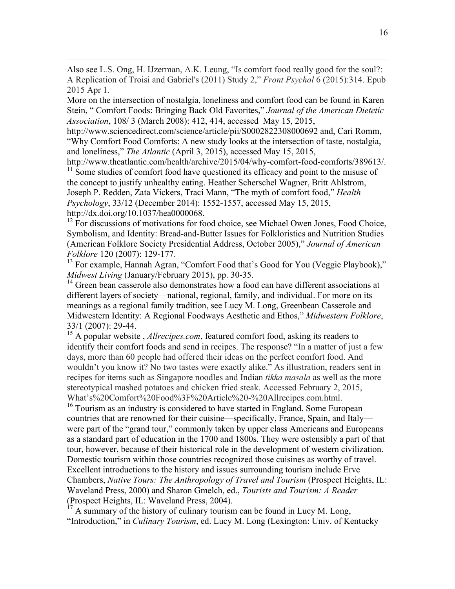Also see L.S. Ong, H. IJzerman, A.K. Leung, "Is comfort food really good for the soul?: A Replication of Troisi and Gabriel's (2011) Study 2," *Front Psychol* 6 (2015):314. Epub 2015 Apr 1.

 $\overline{a}$ 

More on the intersection of nostalgia, loneliness and comfort food can be found in Karen Stein, " Comfort Foods: Bringing Back Old Favorites," *Journal of the American Dietetic Association*, 108/ 3 (March 2008): 412, 414, accessed May 15, 2015,

http://www.sciencedirect.com/science/article/pii/S0002822308000692 and, Cari Romm, "Why Comfort Food Comforts: A new study looks at the intersection of taste, nostalgia, and loneliness," *The Atlantic* (April 3, 2015), accessed May 15, 2015,

http://www.theatlantic.com/health/archive/2015/04/why-comfort-food-comforts/389613/.<br><sup>11</sup> Some studies of comfort food have questioned its efficacy and point to the misuse of

the concept to justify unhealthy eating. Heather Scherschel Wagner, Britt Ahlstrom, Joseph P. Redden, Zata Vickers, Traci Mann, "The myth of comfort food," *Health Psychology*, 33/12 (December 2014): 1552-1557, accessed May 15, 2015, http://dx.doi.org/10.1037/hea0000068.<br><sup>12</sup> For discussions of motivations for food choice, see Michael Owen Jones, Food Choice,

Symbolism, and Identity: Bread-and-Butter Issues for Folkloristics and Nutrition Studies (American Folklore Society Presidential Address, October 2005)," *Journal of American Folklore* 120 (2007): 129-177.

<sup>13</sup> For example, Hannah Agran, "Comfort Food that's Good for You (Veggie Playbook)," *Midwest Living* (January/February 2015), pp. 30-35.

<sup>14</sup> Green bean casserole also demonstrates how a food can have different associations at different layers of society—national, regional, family, and individual. For more on its meanings as a regional family tradition, see Lucy M. Long, Greenbean Casserole and Midwestern Identity: A Regional Foodways Aesthetic and Ethos," *Midwestern Folklore*, 33/1 (2007): 29-44.

<sup>15</sup> A popular website, *Allrecipes.com*, featured comfort food, asking its readers to identify their comfort foods and send in recipes. The response? "In a matter of just a few days, more than 60 people had offered their ideas on the perfect comfort food. And wouldn't you know it? No two tastes were exactly alike." As illustration, readers sent in recipes for items such as Singapore noodles and Indian *tikka masala* as well as the more stereotypical mashed potatoes and chicken fried steak. Accessed February 2, 2015,

What's%20Comfort%20Food%3F%20Article%20-%20Allrecipes.com.html.<br><sup>16</sup> Tourism as an industry is considered to have started in England. Some European countries that are renowned for their cuisine—specifically, France, Spain, and Italy were part of the "grand tour," commonly taken by upper class Americans and Europeans as a standard part of education in the 1700 and 1800s. They were ostensibly a part of that tour, however, because of their historical role in the development of western civilization. Domestic tourism within those countries recognized those cuisines as worthy of travel. Excellent introductions to the history and issues surrounding tourism include Erve Chambers, *Native Tours: The Anthropology of Travel and Tourism* (Prospect Heights, IL: Waveland Press, 2000) and Sharon Gmelch, ed., *Tourists and Tourism: A Reader* (Prospect Heights, IL: Waveland Press, 2004).

 $17$  A summary of the history of culinary tourism can be found in Lucy M. Long, "Introduction," in *Culinary Tourism*, ed. Lucy M. Long (Lexington: Univ. of Kentucky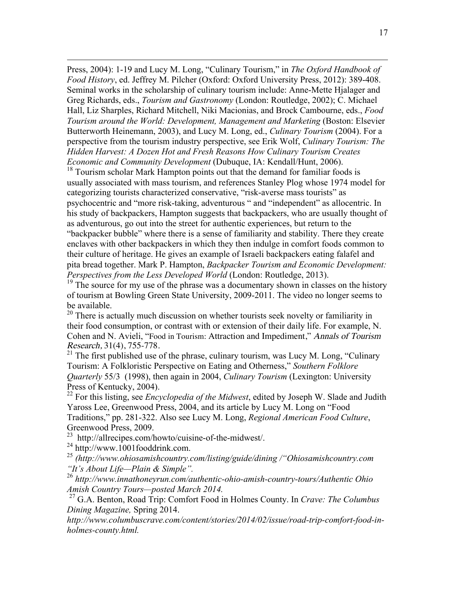Press, 2004): 1-19 and Lucy M. Long, "Culinary Tourism," in *The Oxford Handbook of Food History*, ed. Jeffrey M. Pilcher (Oxford: Oxford University Press, 2012): 389-408. Seminal works in the scholarship of culinary tourism include: Anne-Mette Hjalager and Greg Richards, eds., *Tourism and Gastronomy* (London: Routledge, 2002); C. Michael Hall, Liz Sharples, Richard Mitchell, Niki Macionias, and Brock Cambourne, eds., *Food Tourism around the World: Development, Management and Marketing* (Boston: Elsevier Butterworth Heinemann, 2003), and Lucy M. Long, ed., *Culinary Tourism* (2004). For a perspective from the tourism industry perspective, see Erik Wolf, *Culinary Tourism: The Hidden Harvest: A Dozen Hot and Fresh Reasons How Culinary Tourism Creates Economic and Community Development* (Dubuque, IA: Kendall/Hunt, 2006).

 $18$  Tourism scholar Mark Hampton points out that the demand for familiar foods is usually associated with mass tourism, and references Stanley Plog whose 1974 model for categorizing tourists characterized conservative, "risk-averse mass tourists" as psychocentric and "more risk-taking, adventurous " and "independent" as allocentric. In his study of backpackers, Hampton suggests that backpackers, who are usually thought of as adventurous, go out into the street for authentic experiences, but return to the "backpacker bubble" where there is a sense of familiarity and stability. There they create enclaves with other backpackers in which they then indulge in comfort foods common to their culture of heritage. He gives an example of Israeli backpackers eating falafel and pita bread together. Mark P. Hampton, *Backpacker Tourism and Economic Development: Perspectives from the Less Developed World* (London: Routledge, 2013).

 $19$ <sup>19</sup> The source for my use of the phrase was a documentary shown in classes on the history of tourism at Bowling Green State University, 2009-2011. The video no longer seems to be available.

 $20$  There is actually much discussion on whether tourists seek novelty or familiarity in their food consumption, or contrast with or extension of their daily life. For example, N. Cohen and N. Avieli, "Food in Tourism: Attraction and Impediment," Annals of Tourism Research, 31(4), 755-778.

<sup>21</sup> The first published use of the phrase, culinary tourism, was Lucy M. Long, "Culinary" Tourism: A Folkloristic Perspective on Eating and Otherness," *Southern Folklore Quarterly* 55/3 (1998), then again in 2004, *Culinary Tourism* (Lexington: University Press of Kentucky, 2004). <sup>22</sup> For this listing, see *Encyclopedia of the Midwest*, edited by Joseph W. Slade and Judith

Yaross Lee, Greenwood Press, 2004, and its article by Lucy M. Long on "Food Traditions," pp. 281-322. Also see Lucy M. Long, *Regional American Food Culture*, Greenwood Press, 2009.<br><sup>23</sup> http://allrecipes.com/howto/cuisine-of-the-midwest/.

 $\overline{a}$ 

24 http://www.1001fooddrink.com.<br>25 *(http://www.ohiosamishcountry.com/listing/guide/dining /"Ohiosamishcountry.com "It's About Life—Plain & Simple".*

<sup>26</sup> *http://www.innathoneyrun.com/authentic-ohio-amish-country-tours/Authentic Ohio Amish Country Tours—posted March 2014.*

<sup>27</sup> G.A. Benton, Road Trip: Comfort Food in Holmes County. In *Crave: The Columbus Dining Magazine,* Spring 2014.

*http://www.columbuscrave.com/content/stories/2014/02/issue/road-trip-comfort-food-inholmes-county.html.*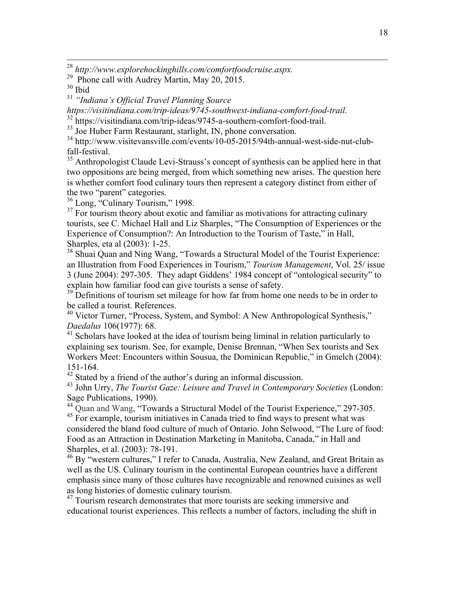<sup>28</sup> *http://www.explorehockinghills.com/comfortfoodcruise.aspx.* 29 Phone call with Audrey Martin, May 20, 2015.

<sup>31</sup> *"Indiana's Official Travel Planning Source*

https://visitindiana.com/trip-ideas/9745-southwest-indiana-comfort-food-trail.<br>
<sup>32</sup> https://visitindiana.com/trip-ideas/9745-a-southern-comfort-food-trail.<br>
<sup>33</sup> Joe Huber Farm Restaurant, starlight, IN, phone conversati

<sup>34</sup> http://www.visitevansville.com/events/10-05-2015/94th-annual-west-side-nut-clubfall-festival.<br><sup>35</sup> Anthropologist Claude Levi-Strauss's concept of synthesis can be applied here in that

two oppositions are being merged, from which something new arises. The question here is whether comfort food culinary tours then represent a category distinct from either of the two "parent" categories.

<sup>36</sup> Long, "Culinary Tourism," 1998.

 $37$  For tourism theory about exotic and familiar as motivations for attracting culinary tourists, see C. Michael Hall and Liz Sharples, "The Consumption of Experiences or the Experience of Consumption?: An Introduction to the Tourism of Taste," in Hall, Sharples, eta al (2003): 1-25.

<sup>38</sup> Shuai Quan and Ning Wang, "Towards a Structural Model of the Tourist Experience: an Illustration from Food Experiences in Tourism," *Tourism Management*, Vol. 25/ issue 3 (June 2004): 297-305. They adapt Giddens' 1984 concept of "ontological security" to explain how familiar food can give tourists a sense of safety.

<sup>39</sup> Definitions of tourism set mileage for how far from home one needs to be in order to be called a tourist. References.

<sup>40</sup> Victor Turner, "Process, System, and Symbol: A New Anthropological Synthesis," *Daedalus* 106(1977): 68.

<sup>41</sup> Scholars have looked at the idea of tourism being liminal in relation particularly to explaining sex tourism. See, for example, Denise Brennan, "When Sex tourists and Sex Workers Meet: Encounters within Sousua, the Dominican Republic," in Gmelch (2004): 151-164.

<sup>42</sup> Stated by a friend of the author's during an informal discussion.

<sup>43</sup> John Urry, *The Tourist Gaze: Leisure and Travel in Contemporary Societies* (London: Sage Publications, 1990).

<sup>44</sup> Quan and Wang, "Towards a Structural Model of the Tourist Experience," 297-305. <sup>45</sup> For example, tourism initiatives in Canada tried to find ways to present what was

considered the bland food culture of much of Ontario. John Selwood, "The Lure of food: Food as an Attraction in Destination Marketing in Manitoba, Canada," in Hall and Sharples, et al. (2003): 78-191.

<sup>46</sup> By "western cultures," I refer to Canada, Australia, New Zealand, and Great Britain as well as the US. Culinary tourism in the continental European countries have a different emphasis since many of those cultures have recognizable and renowned cuisines as well as long histories of domestic culinary tourism.

 $47$  Tourism research demonstrates that more tourists are seeking immersive and educational tourist experiences. This reflects a number of factors, including the shift in

<sup>30</sup> Ibid